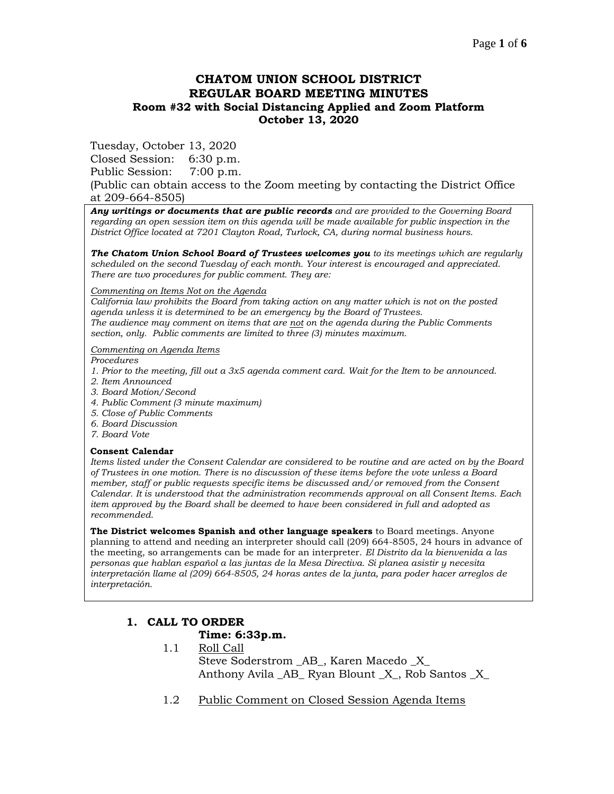# **CHATOM UNION SCHOOL DISTRICT REGULAR BOARD MEETING MINUTES Room #32 with Social Distancing Applied and Zoom Platform October 13, 2020**

Tuesday, October 13, 2020

Closed Session: 6:30 p.m.

Public Session: 7:00 p.m.

(Public can obtain access to the Zoom meeting by contacting the District Office at 209-664-8505)

*Any writings or documents that are public records and are provided to the Governing Board regarding an open session item on this agenda will be made available for public inspection in the District Office located at 7201 Clayton Road, Turlock, CA, during normal business hours.*

*The Chatom Union School Board of Trustees welcomes you to its meetings which are regularly scheduled on the second Tuesday of each month. Your interest is encouraged and appreciated. There are two procedures for public comment. They are:*

#### *Commenting on Items Not on the Agenda*

*California law prohibits the Board from taking action on any matter which is not on the posted agenda unless it is determined to be an emergency by the Board of Trustees. The audience may comment on items that are not on the agenda during the Public Comments section, only. Public comments are limited to three (3) minutes maximum.*

### *Commenting on Agenda Items*

*Procedures* 

- *1. Prior to the meeting, fill out a 3x5 agenda comment card. Wait for the Item to be announced.*
- *2. Item Announced*
- *3. Board Motion/Second*
- *4. Public Comment (3 minute maximum)*
- *5. Close of Public Comments*
- *6. Board Discussion*
- *7. Board Vote*

### **Consent Calendar**

*Items listed under the Consent Calendar are considered to be routine and are acted on by the Board of Trustees in one motion. There is no discussion of these items before the vote unless a Board member, staff or public requests specific items be discussed and/or removed from the Consent Calendar. It is understood that the administration recommends approval on all Consent Items. Each item approved by the Board shall be deemed to have been considered in full and adopted as recommended.*

**The District welcomes Spanish and other language speakers** to Board meetings. Anyone planning to attend and needing an interpreter should call (209) 664-8505, 24 hours in advance of the meeting, so arrangements can be made for an interpreter. *El Distrito da la bienvenida a las personas que hablan español a las juntas de la Mesa Directiva. Si planea asistir y necesita interpretación llame al (209) 664-8505, 24 horas antes de la junta, para poder hacer arreglos de interpretación.*

# **1. CALL TO ORDER**

## **Time: 6:33p.m.**

- 1.1 Roll Call Steve Soderstrom \_AB\_, Karen Macedo \_X\_ Anthony Avila AB Ryan Blount X, Rob Santos X
- 1.2 Public Comment on Closed Session Agenda Items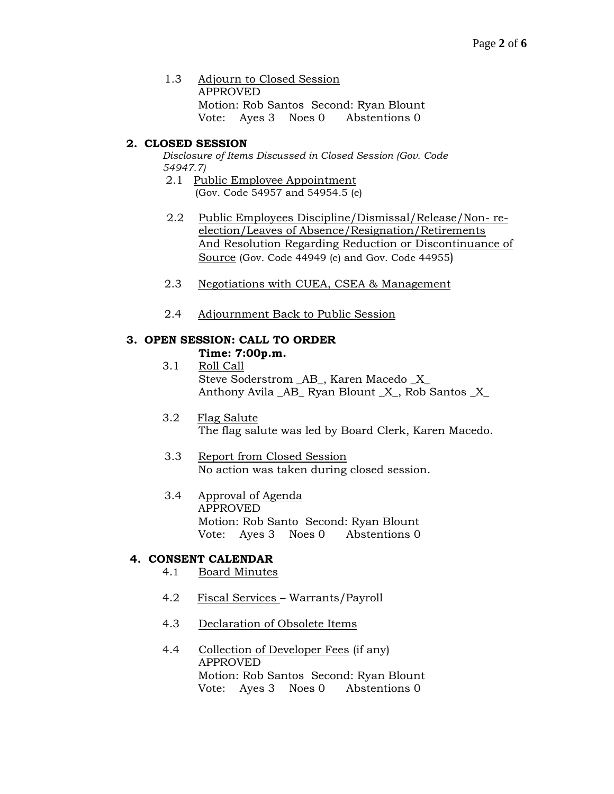1.3 Adjourn to Closed Session APPROVED Motion: Rob Santos Second: Ryan Blount Vote: Ayes 3 Noes 0 Abstentions 0

# **2. CLOSED SESSION**

*Disclosure of Items Discussed in Closed Session (Gov. Code 54947.7)*

- 2.1 Public Employee Appointment (Gov. Code 54957 and 54954.5 (e)
- 2.2 Public Employees Discipline/Dismissal/Release/Non- reelection/Leaves of Absence/Resignation/Retirements And Resolution Regarding Reduction or Discontinuance of Source (Gov. Code 44949 (e) and Gov. Code 44955)
- 2.3 Negotiations with CUEA, CSEA & Management
- 2.4 Adjournment Back to Public Session

## **3. OPEN SESSION: CALL TO ORDER Time: 7:00p.m.**

- 3.1 Roll Call Steve Soderstrom \_AB\_, Karen Macedo \_X\_ Anthony Avila \_AB\_ Ryan Blount \_X\_, Rob Santos \_X\_
- 3.2 Flag Salute The flag salute was led by Board Clerk, Karen Macedo.
- 3.3 Report from Closed Session No action was taken during closed session.
- 3.4 Approval of Agenda APPROVED Motion: Rob Santo Second: Ryan Blount Vote: Ayes 3 Noes 0 Abstentions 0

# **4. CONSENT CALENDAR**

- 4.1 Board Minutes
- 4.2 Fiscal Services Warrants/Payroll
- 4.3 Declaration of Obsolete Items
- 4.4 Collection of Developer Fees (if any) APPROVED Motion: Rob Santos Second: Ryan Blount Vote: Ayes 3 Noes 0 Abstentions 0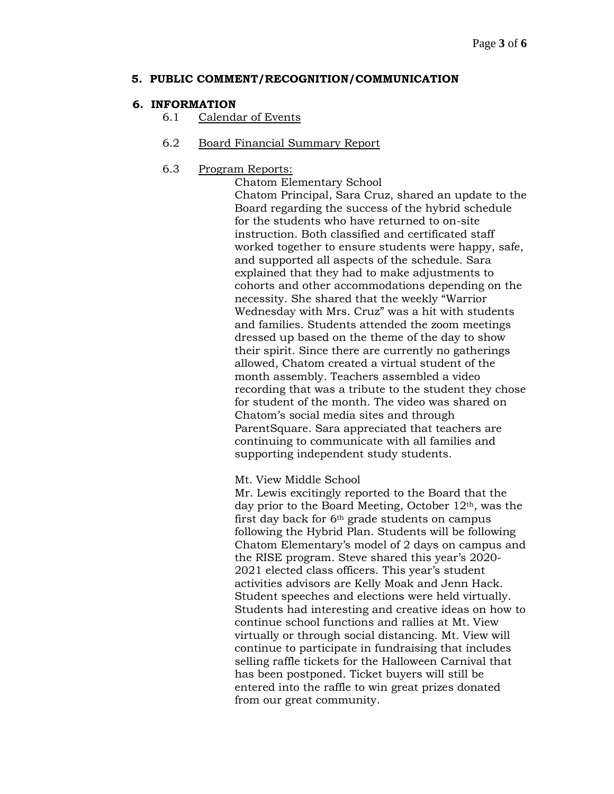## **5. PUBLIC COMMENT/RECOGNITION/COMMUNICATION**

## **6. INFORMATION**

6.1 Calendar of Events

## 6.2 Board Financial Summary Report

## 6.3 Program Reports:

Chatom Elementary School

Chatom Principal, Sara Cruz, shared an update to the Board regarding the success of the hybrid schedule for the students who have returned to on-site instruction. Both classified and certificated staff worked together to ensure students were happy, safe, and supported all aspects of the schedule. Sara explained that they had to make adjustments to cohorts and other accommodations depending on the necessity. She shared that the weekly "Warrior Wednesday with Mrs. Cruz" was a hit with students and families. Students attended the zoom meetings dressed up based on the theme of the day to show their spirit. Since there are currently no gatherings allowed, Chatom created a virtual student of the month assembly. Teachers assembled a video recording that was a tribute to the student they chose for student of the month. The video was shared on Chatom's social media sites and through ParentSquare. Sara appreciated that teachers are continuing to communicate with all families and supporting independent study students.

Mt. View Middle School

Mr. Lewis excitingly reported to the Board that the day prior to the Board Meeting, October 12th, was the first day back for 6th grade students on campus following the Hybrid Plan. Students will be following Chatom Elementary's model of 2 days on campus and the RISE program. Steve shared this year's 2020- 2021 elected class officers. This year's student activities advisors are Kelly Moak and Jenn Hack. Student speeches and elections were held virtually. Students had interesting and creative ideas on how to continue school functions and rallies at Mt. View virtually or through social distancing. Mt. View will continue to participate in fundraising that includes selling raffle tickets for the Halloween Carnival that has been postponed. Ticket buyers will still be entered into the raffle to win great prizes donated from our great community.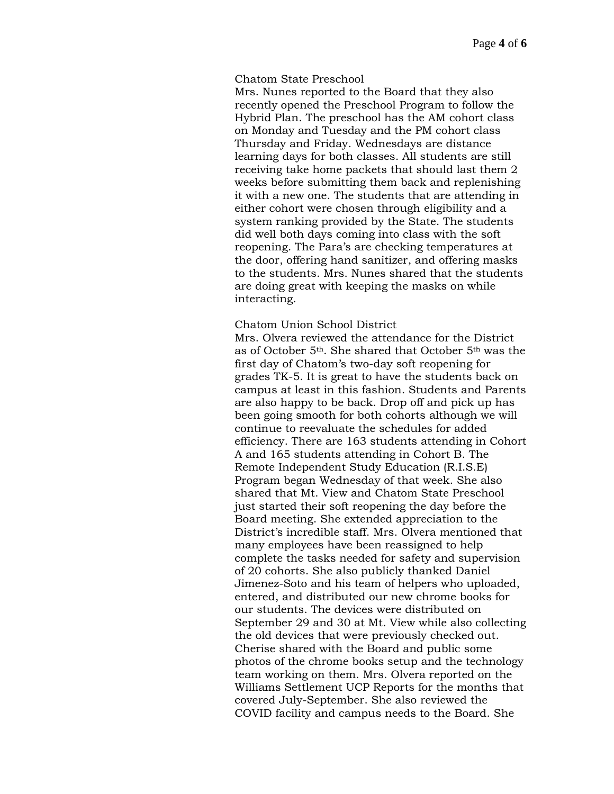## Chatom State Preschool

Mrs. Nunes reported to the Board that they also recently opened the Preschool Program to follow the Hybrid Plan. The preschool has the AM cohort class on Monday and Tuesday and the PM cohort class Thursday and Friday. Wednesdays are distance learning days for both classes. All students are still receiving take home packets that should last them 2 weeks before submitting them back and replenishing it with a new one. The students that are attending in either cohort were chosen through eligibility and a system ranking provided by the State. The students did well both days coming into class with the soft reopening. The Para's are checking temperatures at the door, offering hand sanitizer, and offering masks to the students. Mrs. Nunes shared that the students are doing great with keeping the masks on while interacting.

## Chatom Union School District

Mrs. Olvera reviewed the attendance for the District as of October 5th. She shared that October 5th was the first day of Chatom's two-day soft reopening for grades TK-5. It is great to have the students back on campus at least in this fashion. Students and Parents are also happy to be back. Drop off and pick up has been going smooth for both cohorts although we will continue to reevaluate the schedules for added efficiency. There are 163 students attending in Cohort A and 165 students attending in Cohort B. The Remote Independent Study Education (R.I.S.E) Program began Wednesday of that week. She also shared that Mt. View and Chatom State Preschool just started their soft reopening the day before the Board meeting. She extended appreciation to the District's incredible staff. Mrs. Olvera mentioned that many employees have been reassigned to help complete the tasks needed for safety and supervision of 20 cohorts. She also publicly thanked Daniel Jimenez-Soto and his team of helpers who uploaded, entered, and distributed our new chrome books for our students. The devices were distributed on September 29 and 30 at Mt. View while also collecting the old devices that were previously checked out. Cherise shared with the Board and public some photos of the chrome books setup and the technology team working on them. Mrs. Olvera reported on the Williams Settlement UCP Reports for the months that covered July-September. She also reviewed the COVID facility and campus needs to the Board. She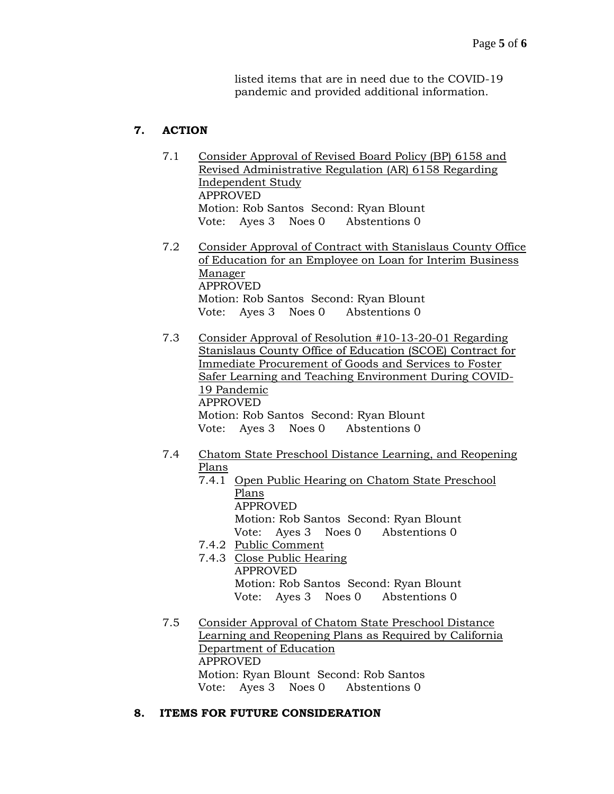listed items that are in need due to the COVID-19 pandemic and provided additional information.

# **7. ACTION**

- 7.1 Consider Approval of Revised Board Policy (BP) 6158 and Revised Administrative Regulation (AR) 6158 Regarding Independent Study APPROVED Motion: Rob Santos Second: Ryan Blount Vote: Ayes 3 Noes 0 Abstentions 0
- 7.2 Consider Approval of Contract with Stanislaus County Office of Education for an Employee on Loan for Interim Business Manager APPROVED Motion: Rob Santos Second: Ryan Blount Vote: Ayes 3 Noes 0 Abstentions 0
- 7.3 Consider Approval of Resolution #10-13-20-01 Regarding Stanislaus County Office of Education (SCOE) Contract for Immediate Procurement of Goods and Services to Foster Safer Learning and Teaching Environment During COVID-19 Pandemic APPROVED Motion: Rob Santos Second: Ryan Blount Vote: Ayes 3 Noes 0 Abstentions 0
- 7.4 Chatom State Preschool Distance Learning, and Reopening Plans
	- 7.4.1 Open Public Hearing on Chatom State Preschool Plans APPROVED Motion: Rob Santos Second: Ryan Blount Vote: Ayes 3 Noes 0 Abstentions 0
	- 7.4.2 Public Comment
	- 7.4.3 Close Public Hearing APPROVED Motion: Rob Santos Second: Ryan Blount Vote: Ayes 3 Noes 0 Abstentions 0
- 7.5 Consider Approval of Chatom State Preschool Distance Learning and Reopening Plans as Required by California Department of Education APPROVED Motion: Ryan Blount Second: Rob Santos Vote: Ayes 3 Noes 0 Abstentions 0

# **8. ITEMS FOR FUTURE CONSIDERATION**